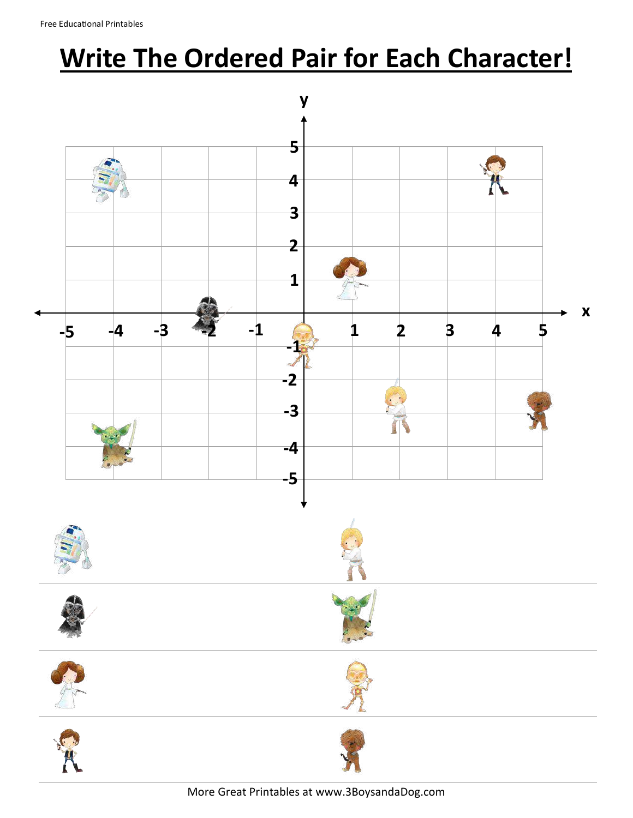## **Write The Ordered Pair for Each Character!**



More Great Printables at www.3BoysandaDog.com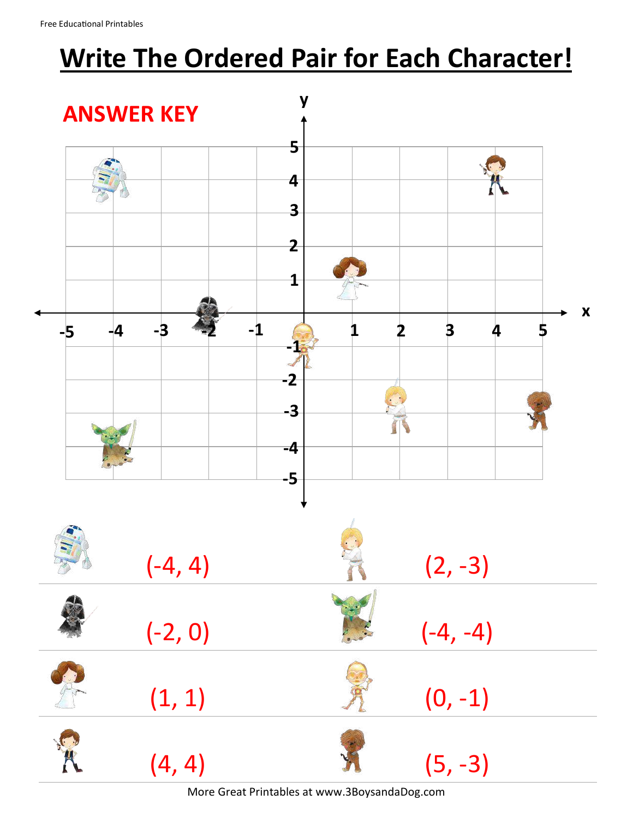## **Write The Ordered Pair for Each Character!**



More Great Printables at www.3BoysandaDog.com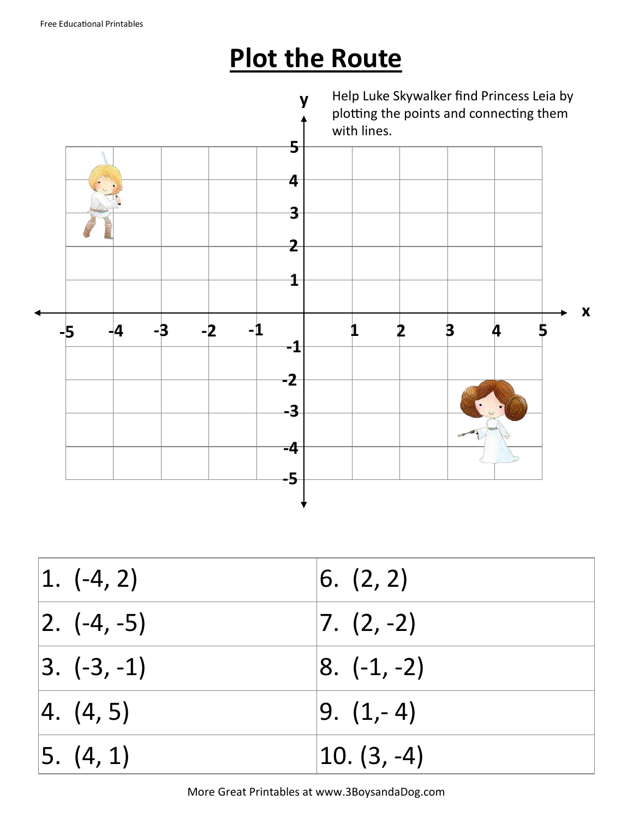## **Plot the Route**



| $ 1. ( -4, 2) $    | 6. (2, 2)       |
|--------------------|-----------------|
| $ 2. \; (-4, -5) $ | $ 7. (2, -2) $  |
| $ 3. (-3, -1) $    | $ 8. (-1, -2) $ |
| 4. (4, 5)          | $ 9. (1, -4) $  |
| 5. (4, 1)          | $ 10. (3, -4) $ |